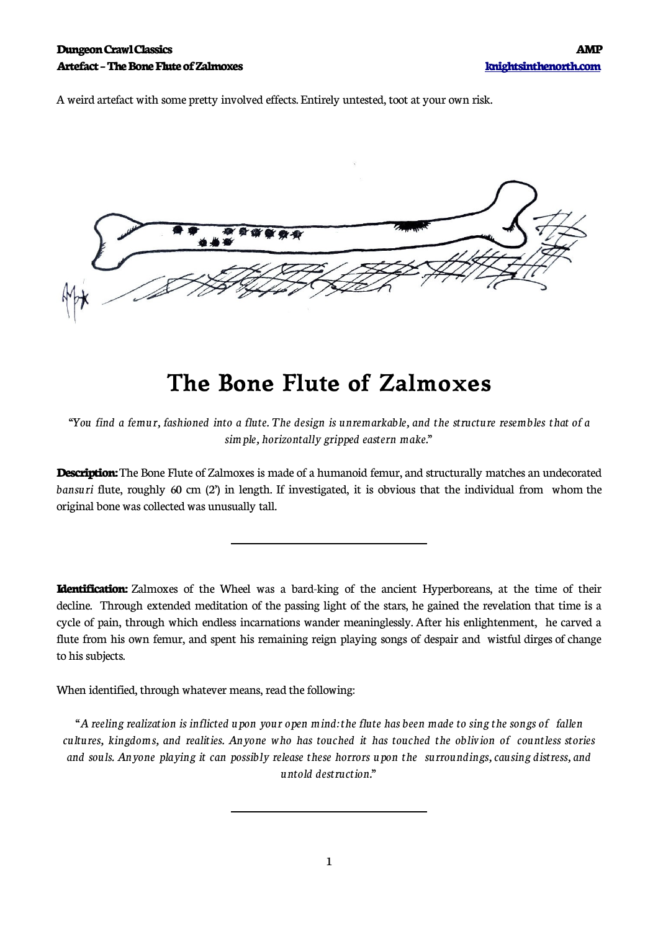A weird artefact with some pretty involved effects. Entirely untested, toot at your own risk.



## **The Bone Flute of Zalmoxes**

"You find a femur, fashioned into a flute. The design is unremarkable, and the structure resembles that of a *simple, horizontally gripped eastern make."*

**Description:** The Bone Flute of Zalmoxes is made of a humanoid femur, and structurally matches an undecorated *bansuri* flute, roughly 60 cm (2') in length. If investigated, it is obvious that the individual from whom the original bone was collected was unusually tall.

**Identification:** Zalmoxes of the Wheel was a bard-king of the ancient Hyperboreans, at the time of their decline. Through extended meditation of the passing light of the stars, he gained the revelation that time is a cycle of pain, through which endless incarnations wander meaninglessly. After his enlightenment, he carved a flute from his own femur, and spent his remaining reign playing songs of despair and wistful dirges of change to his subjects.

When identified, through whatever means, read the following:

 $\overline{a}$ 

 $\overline{a}$ 

*"A reeling realization is inflicted upon your open mind: the flute has been made to sing the songsof fallen cultures, kingdoms, and realities. Anyone who has touched it has touched the oblivion of countless stories and souls. Anyone playing it can possibly release these horrors upon the surroundings, causing distress, and untold destruction."*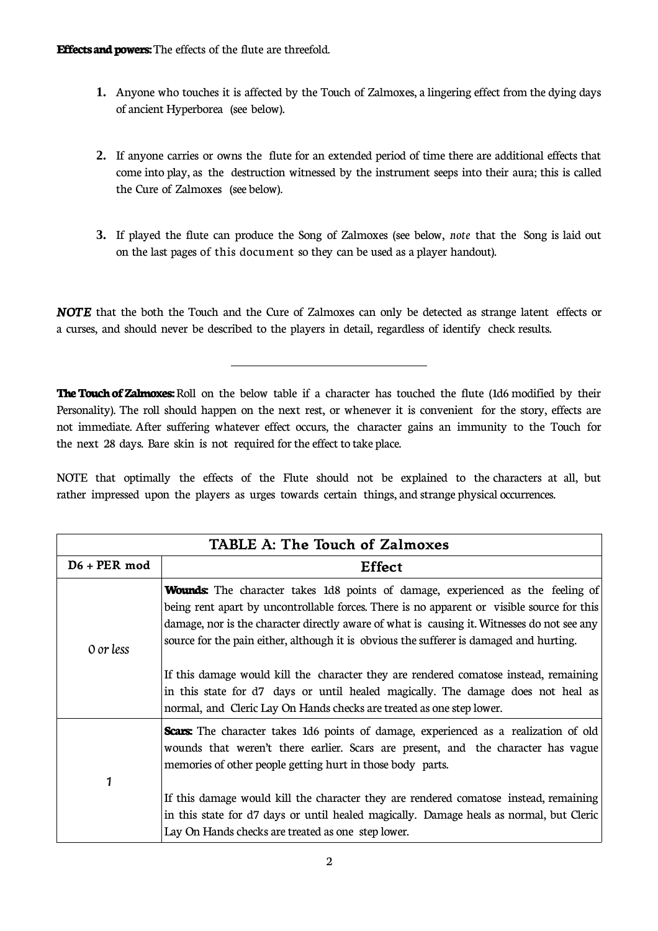$\overline{a}$ 

- **1.** Anyone who touches it is affected by the Touch of Zalmoxes, a lingering effect from the dying days of ancient Hyperborea (see below).
- **2.** If anyone carries or owns the flute for an extended period of time there are additional effects that come into play, as the destruction witnessed by the instrument seeps into their aura; this is called the Cure of Zalmoxes (see below).
- **3.** If played the flute can produce the Song of Zalmoxes (see below, *note* that the Song is laid out on the last pages of this document so they can be used as a player handout).

*NOTE* that the both the Touch and the Cure of Zalmoxes can only be detected as strange latent effects or a curses, and should never be described to the players in detail, regardless of identify check results.

**The Touch of Zalmoxes:** Roll on the below table if a character has touched the flute (1d6 modified by their Personality). The roll should happen on the next rest, or whenever it is convenient for the story, effects are not immediate. After suffering whatever effect occurs, the character gains an immunity to the Touch for the next 28 days. Bare skin is not required for the effect to take place.

NOTE that optimally the effects of the Flute should not be explained to the characters at all, but rather impressed upon the players as urges towards certain things, and strange physical occurrences.

| TABLE A: The Touch of Zalmoxes |                                                                                                                                                                                                                                                                                                                                                                                                                                                                                                                                                             |  |
|--------------------------------|-------------------------------------------------------------------------------------------------------------------------------------------------------------------------------------------------------------------------------------------------------------------------------------------------------------------------------------------------------------------------------------------------------------------------------------------------------------------------------------------------------------------------------------------------------------|--|
| $D6 + PER \mod$                | <b>Effect</b>                                                                                                                                                                                                                                                                                                                                                                                                                                                                                                                                               |  |
| 0 or less                      | <b>Wounds:</b> The character takes 1d8 points of damage, experienced as the feeling of<br>being rent apart by uncontrollable forces. There is no apparent or visible source for this<br>damage, nor is the character directly aware of what is causing it. Witnesses do not see any<br>source for the pain either, although it is obvious the sufferer is damaged and hurting.<br>If this damage would kill the character they are rendered comatose instead, remaining<br>in this state for d7 days or until healed magically. The damage does not heal as |  |
| 1                              | normal, and Cleric Lay On Hands checks are treated as one step lower.<br><b>Scars:</b> The character takes 1d6 points of damage, experienced as a realization of old<br>wounds that weren't there earlier. Scars are present, and the character has vague<br>memories of other people getting hurt in those body parts.                                                                                                                                                                                                                                     |  |
|                                | If this damage would kill the character they are rendered comatose instead, remaining<br>in this state for d7 days or until healed magically. Damage heals as normal, but Cleric<br>Lay On Hands checks are treated as one step lower.                                                                                                                                                                                                                                                                                                                      |  |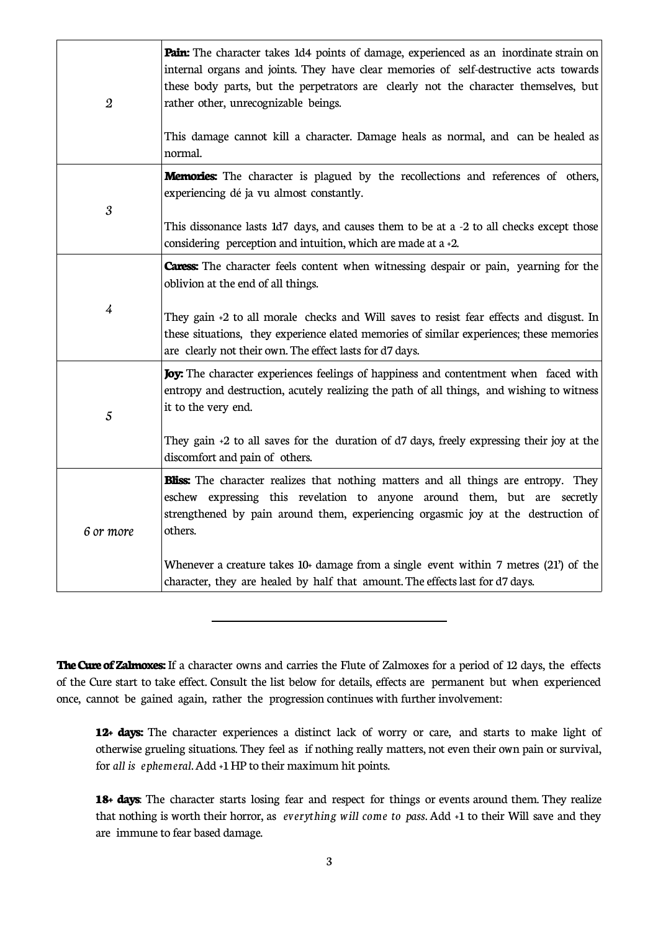| $\boldsymbol{2}$     | <b>Pain:</b> The character takes 1d4 points of damage, experienced as an inordinate strain on<br>internal organs and joints. They have clear memories of self-destructive acts towards<br>these body parts, but the perpetrators are clearly not the character themselves, but<br>rather other, unrecognizable beings.<br>This damage cannot kill a character. Damage heals as normal, and can be healed as<br>normal.                              |
|----------------------|-----------------------------------------------------------------------------------------------------------------------------------------------------------------------------------------------------------------------------------------------------------------------------------------------------------------------------------------------------------------------------------------------------------------------------------------------------|
| $\boldsymbol{\beta}$ | <b>Memories:</b> The character is plagued by the recollections and references of others,<br>experiencing dé ja vu almost constantly.<br>This dissonance lasts 1d7 days, and causes them to be at a -2 to all checks except those<br>considering perception and intuition, which are made at a +2.                                                                                                                                                   |
| $\overline{4}$       | <b>Caress:</b> The character feels content when witnessing despair or pain, yearning for the<br>oblivion at the end of all things.<br>They gain +2 to all morale checks and Will saves to resist fear effects and disgust. In<br>these situations, they experience elated memories of similar experiences; these memories<br>are clearly not their own. The effect lasts for d7 days.                                                               |
| $\mathfrak{s}$       | Joy: The character experiences feelings of happiness and contentment when faced with<br>entropy and destruction, acutely realizing the path of all things, and wishing to witness<br>it to the very end.<br>They gain $+2$ to all saves for the duration of d7 days, freely expressing their joy at the<br>discomfort and pain of others.                                                                                                           |
| 6 or more            | <b>Bliss:</b> The character realizes that nothing matters and all things are entropy. They<br>eschew expressing this revelation to anyone around them, but are secretly<br>strengthened by pain around them, experiencing orgasmic joy at the destruction of<br>others.<br>Whenever a creature takes $10+$ damage from a single event within 7 metres (21') of the<br>character, they are healed by half that amount. The effects last for d7 days. |

**The Cure of Zalmoxes:** If a character owns and carries the Flute of Zalmoxes for a period of 12 days, the effects of the Cure start to take effect. Consult the list below for details, effects are permanent but when experienced once, cannot be gained again, rather the progression continues with further involvement:

**12+ days:** The character experiences a distinct lack of worry or care, and starts to make light of otherwise grueling situations. They feel as if nothing really matters, not even their own pain or survival, for *all is ephemeral*.Add +1HP to their maximum hit points.

**18+ days**: The character starts losing fear and respect for things or events around them. They realize that nothing is worth their horror, as *everything will come to pass*. Add +1 to their Will save and they are immune to fear based damage.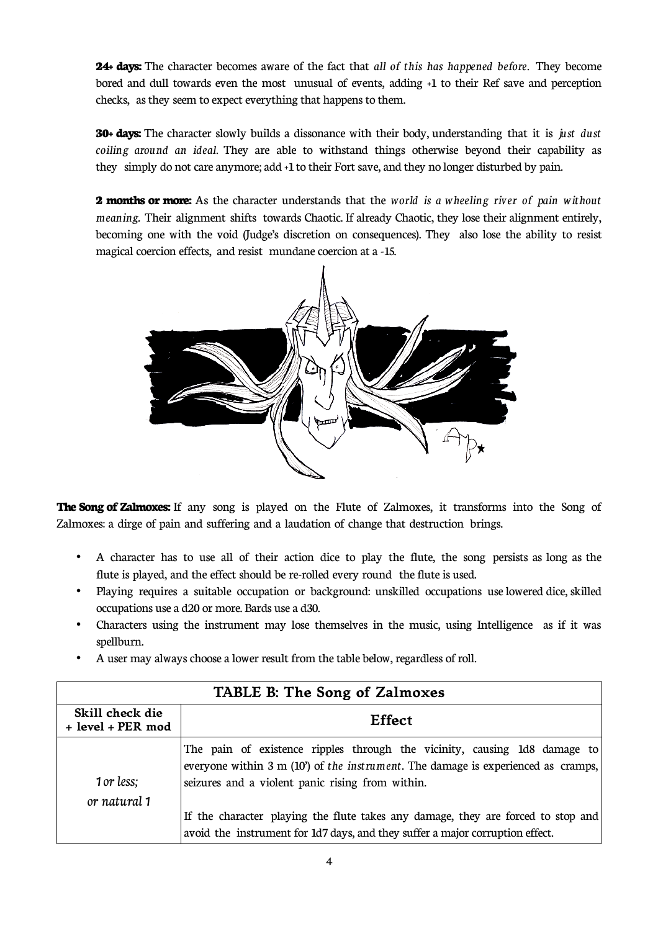**24+ days:** The character becomes aware of the fact that *all of this has happened before*. They become bored and dull towards even the most unusual of events, adding +1 to their Ref save and perception checks, as they seem to expect everything that happens to them.

**30+ days:** The character slowly builds a dissonance with their body, understanding that it is *just dust coiling around an ideal*. They are able to withstand things otherwise beyond their capability as they simply do not care anymore; add +1 to their Fort save, and they no longer disturbed by pain.

**2 months or more:** As the character understands that the *world is a wheeling river of pain without meaning.* Their alignment shifts towards Chaotic. If already Chaotic, they lose their alignment entirely, becoming one with the void (Judge's discretion on consequences). They also lose the ability to resist magical coercion effects, and resist mundane coercion at a -15.



**The Song of Zalmoxes:** If any song is played on the Flute of Zalmoxes, it transforms into the Song of Zalmoxes: a dirge of pain and suffering and a laudation of change that destruction brings.

- A character has to use all of their action dice to play the flute, the song persists as long as the flute is played, and the effect should be re-rolled every round the flute is used.
- Playing requires a suitable occupation or background: unskilled occupations use lowered dice, skilled occupations use a d20 or more. Bards use a d30.
- Characters using the instrument may lose themselves in the music, using Intelligence as if it was spellburn.
- A user may always choose a lower result from the table below, regardless of roll.

| TABLE B: The Song of Zalmoxes        |                                                                                                                                                                                                                   |  |
|--------------------------------------|-------------------------------------------------------------------------------------------------------------------------------------------------------------------------------------------------------------------|--|
| Skill check die<br>+ level + PER mod | <b>Effect</b>                                                                                                                                                                                                     |  |
| 1 or less;                           | The pain of existence ripples through the vicinity, causing 1d8 damage to<br>everyone within 3 m (10) of the instrument. The damage is experienced as cramps,<br>seizures and a violent panic rising from within. |  |
| or natural 1                         | If the character playing the flute takes any damage, they are forced to stop and<br>avoid the instrument for 1d7 days, and they suffer a major corruption effect.                                                 |  |